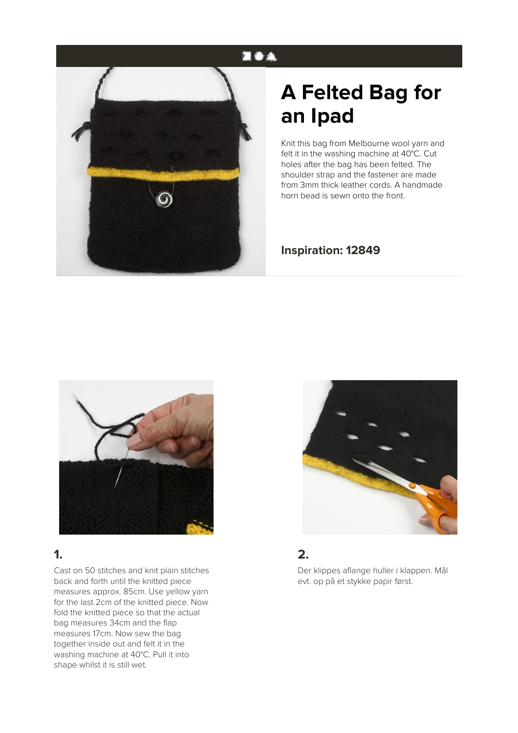## **EOA**



# **A Felted Bag for an Ipad**

Knit this bag from Melbourne wool yarn and felt it in the washing machine at 40°C. Cut holes after the bag has been felted. The shoulder strap and the fastener are made from 3mm thick leather cords. A handmade horn bead is sewn onto the front.

#### **Inspiration: 12849**



## **1.**

Cast on 50 stitches and knit plain stitches back and forth until the knitted piece measures approx. 85cm. Use yellow yarn for the last 2cm of the knitted piece. Now fold the knitted piece so that the actual bag measures 34cm and the flap measures 17cm. Now sew the bag together inside out and felt it in the washing machine at 40°C. Pull it into shape whilst it is still wet.



### **2.**

Der klippes aflange huller i klappen. Mål evt. op på et stykke papir først.